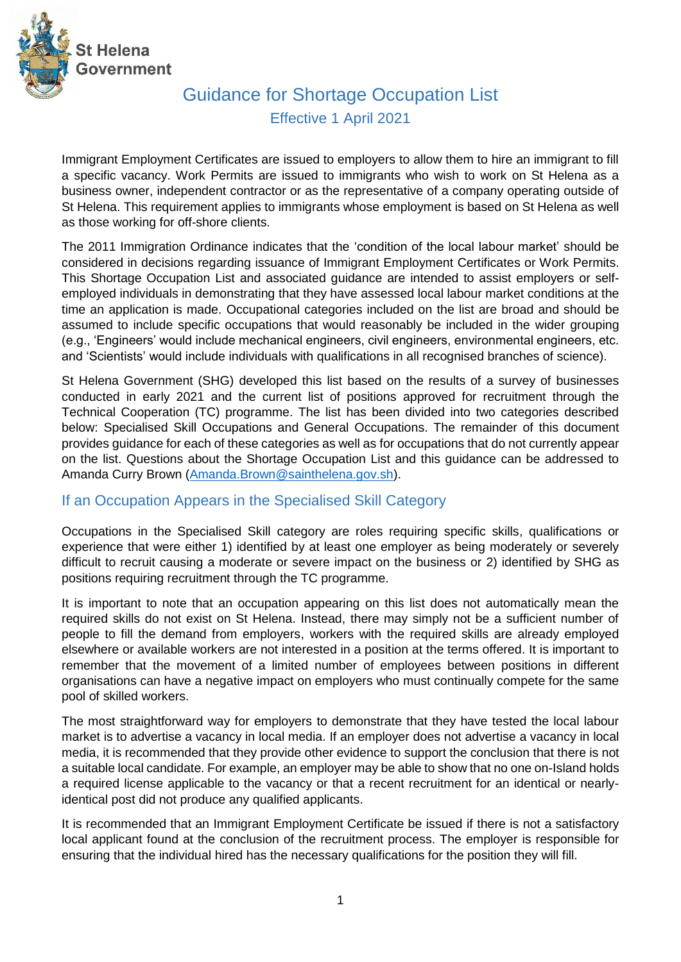

# Guidance for Shortage Occupation List Effective 1 April 2021

Immigrant Employment Certificates are issued to employers to allow them to hire an immigrant to fill a specific vacancy. Work Permits are issued to immigrants who wish to work on St Helena as a business owner, independent contractor or as the representative of a company operating outside of St Helena. This requirement applies to immigrants whose employment is based on St Helena as well as those working for off-shore clients.

The 2011 Immigration Ordinance indicates that the 'condition of the local labour market' should be considered in decisions regarding issuance of Immigrant Employment Certificates or Work Permits. This Shortage Occupation List and associated guidance are intended to assist employers or selfemployed individuals in demonstrating that they have assessed local labour market conditions at the time an application is made. Occupational categories included on the list are broad and should be assumed to include specific occupations that would reasonably be included in the wider grouping (e.g., 'Engineers' would include mechanical engineers, civil engineers, environmental engineers, etc. and 'Scientists' would include individuals with qualifications in all recognised branches of science).

St Helena Government (SHG) developed this list based on the results of a survey of businesses conducted in early 2021 and the current list of positions approved for recruitment through the Technical Cooperation (TC) programme. The list has been divided into two categories described below: Specialised Skill Occupations and General Occupations. The remainder of this document provides guidance for each of these categories as well as for occupations that do not currently appear on the list. Questions about the Shortage Occupation List and this guidance can be addressed to Amanda Curry Brown [\(Amanda.Brown@sainthelena.gov.sh\)](mailto:Amanda.Brown@sainthelena.gov.sh).

### If an Occupation Appears in the Specialised Skill Category

Occupations in the Specialised Skill category are roles requiring specific skills, qualifications or experience that were either 1) identified by at least one employer as being moderately or severely difficult to recruit causing a moderate or severe impact on the business or 2) identified by SHG as positions requiring recruitment through the TC programme.

It is important to note that an occupation appearing on this list does not automatically mean the required skills do not exist on St Helena. Instead, there may simply not be a sufficient number of people to fill the demand from employers, workers with the required skills are already employed elsewhere or available workers are not interested in a position at the terms offered. It is important to remember that the movement of a limited number of employees between positions in different organisations can have a negative impact on employers who must continually compete for the same pool of skilled workers.

The most straightforward way for employers to demonstrate that they have tested the local labour market is to advertise a vacancy in local media. If an employer does not advertise a vacancy in local media, it is recommended that they provide other evidence to support the conclusion that there is not a suitable local candidate. For example, an employer may be able to show that no one on-Island holds a required license applicable to the vacancy or that a recent recruitment for an identical or nearlyidentical post did not produce any qualified applicants.

It is recommended that an Immigrant Employment Certificate be issued if there is not a satisfactory local applicant found at the conclusion of the recruitment process. The employer is responsible for ensuring that the individual hired has the necessary qualifications for the position they will fill.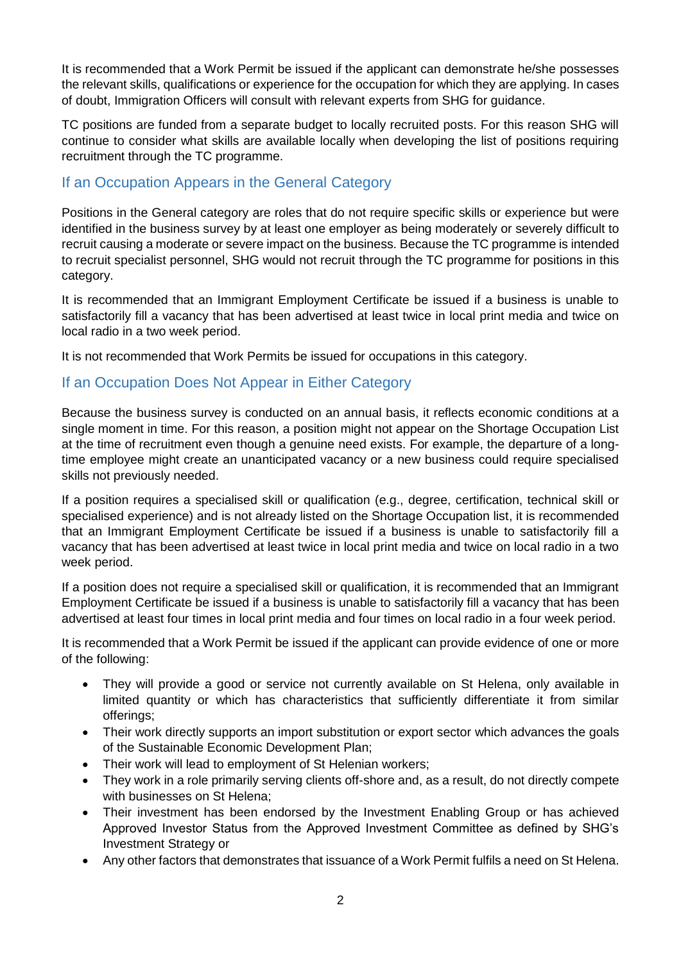It is recommended that a Work Permit be issued if the applicant can demonstrate he/she possesses the relevant skills, qualifications or experience for the occupation for which they are applying. In cases of doubt, Immigration Officers will consult with relevant experts from SHG for guidance.

TC positions are funded from a separate budget to locally recruited posts. For this reason SHG will continue to consider what skills are available locally when developing the list of positions requiring recruitment through the TC programme.

## If an Occupation Appears in the General Category

Positions in the General category are roles that do not require specific skills or experience but were identified in the business survey by at least one employer as being moderately or severely difficult to recruit causing a moderate or severe impact on the business. Because the TC programme is intended to recruit specialist personnel, SHG would not recruit through the TC programme for positions in this category.

It is recommended that an Immigrant Employment Certificate be issued if a business is unable to satisfactorily fill a vacancy that has been advertised at least twice in local print media and twice on local radio in a two week period.

It is not recommended that Work Permits be issued for occupations in this category.

### If an Occupation Does Not Appear in Either Category

Because the business survey is conducted on an annual basis, it reflects economic conditions at a single moment in time. For this reason, a position might not appear on the Shortage Occupation List at the time of recruitment even though a genuine need exists. For example, the departure of a longtime employee might create an unanticipated vacancy or a new business could require specialised skills not previously needed.

If a position requires a specialised skill or qualification (e.g., degree, certification, technical skill or specialised experience) and is not already listed on the Shortage Occupation list, it is recommended that an Immigrant Employment Certificate be issued if a business is unable to satisfactorily fill a vacancy that has been advertised at least twice in local print media and twice on local radio in a two week period.

If a position does not require a specialised skill or qualification, it is recommended that an Immigrant Employment Certificate be issued if a business is unable to satisfactorily fill a vacancy that has been advertised at least four times in local print media and four times on local radio in a four week period.

It is recommended that a Work Permit be issued if the applicant can provide evidence of one or more of the following:

- They will provide a good or service not currently available on St Helena, only available in limited quantity or which has characteristics that sufficiently differentiate it from similar offerings;
- Their work directly supports an import substitution or export sector which advances the goals of the Sustainable Economic Development Plan;
- Their work will lead to employment of St Helenian workers;
- They work in a role primarily serving clients off-shore and, as a result, do not directly compete with businesses on St Helena;
- Their investment has been endorsed by the Investment Enabling Group or has achieved Approved Investor Status from the Approved Investment Committee as defined by SHG's Investment Strategy or
- Any other factors that demonstrates that issuance of a Work Permit fulfils a need on St Helena.